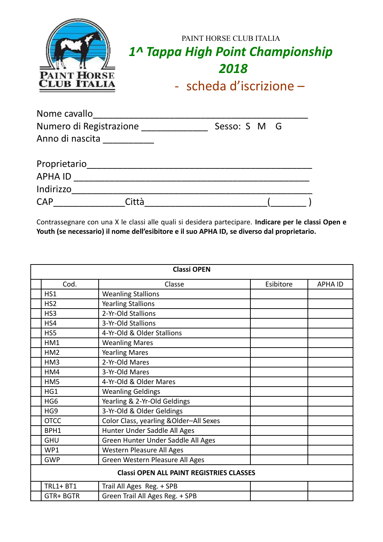| <b>PAINT HORSE</b><br><b>CLUB ITALIA</b> | PAINT HORSE CLUB ITALIA<br>1^ Tappa High Point Championship<br>2018 |
|------------------------------------------|---------------------------------------------------------------------|
|                                          | - scheda d'iscrizione $-$                                           |

| Nome cavallo            |  |              |  |
|-------------------------|--|--------------|--|
| Numero di Registrazione |  | Sesso: S M G |  |
| Anno di nascita         |  |              |  |
| Proprietario            |  |              |  |
| <b>APHA ID</b>          |  |              |  |
| Indirizzo               |  |              |  |
| <b>CAP</b>              |  |              |  |

Contrassegnare con una X le classi alle quali si desidera partecipare. **Indicare per le classi Open e Youth (se necessario) il nome dell'esibitore e il suo APHA ID, se diverso dal proprietario.**

| <b>Classi OPEN</b>                              |                                         |           |                |
|-------------------------------------------------|-----------------------------------------|-----------|----------------|
| Cod.                                            | Classe                                  | Esibitore | <b>APHA ID</b> |
| HS1                                             | <b>Weanling Stallions</b>               |           |                |
| HS <sub>2</sub>                                 | <b>Yearling Stallions</b>               |           |                |
| HS <sub>3</sub>                                 | 2-Yr-Old Stallions                      |           |                |
| HS4                                             | 3-Yr-Old Stallions                      |           |                |
| HS5                                             | 4-Yr-Old & Older Stallions              |           |                |
| HM1                                             | <b>Weanling Mares</b>                   |           |                |
| HM <sub>2</sub>                                 | <b>Yearling Mares</b>                   |           |                |
| HM3                                             | 2-Yr-Old Mares                          |           |                |
| HM4                                             | 3-Yr-Old Mares                          |           |                |
| HM5                                             | 4-Yr-Old & Older Mares                  |           |                |
| HG1                                             | <b>Weanling Geldings</b>                |           |                |
| HG <sub>6</sub>                                 | Yearling & 2-Yr-Old Geldings            |           |                |
| HG <sub>9</sub>                                 | 3-Yr-Old & Older Geldings               |           |                |
| <b>OTCC</b>                                     | Color Class, yearling & Older-All Sexes |           |                |
| BPH1                                            | Hunter Under Saddle All Ages            |           |                |
| <b>GHU</b>                                      | Green Hunter Under Saddle All Ages      |           |                |
| WP1                                             | Western Pleasure All Ages               |           |                |
| <b>GWP</b>                                      | Green Western Pleasure All Ages         |           |                |
| <b>Classi OPEN ALL PAINT REGISTRIES CLASSES</b> |                                         |           |                |
| <b>TRL1+ BT1</b>                                | Trail All Ages Reg. + SPB               |           |                |
| GTR+BGTR                                        | Green Trail All Ages Reg. + SPB         |           |                |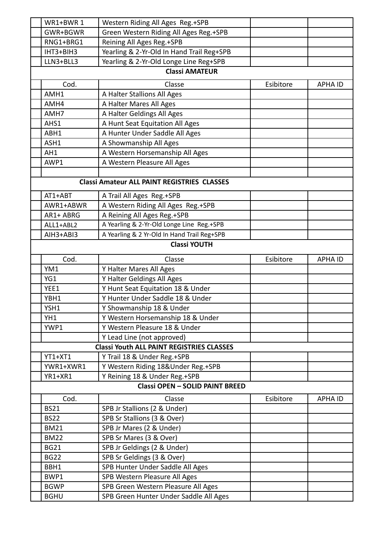| WR1+BWR 1   | Western Riding All Ages Reg.+SPB                   |           |                |
|-------------|----------------------------------------------------|-----------|----------------|
| GWR+BGWR    | Green Western Riding All Ages Reg.+SPB             |           |                |
| RNG1+BRG1   | Reining All Ages Reg.+SPB                          |           |                |
| IHT3+BIH3   | Yearling & 2-Yr-Old In Hand Trail Reg+SPB          |           |                |
| LLN3+BLL3   | Yearling & 2-Yr-Old Longe Line Reg+SPB             |           |                |
|             | <b>Classi AMATEUR</b>                              |           |                |
|             |                                                    |           |                |
| Cod.        | Classe                                             | Esibitore | <b>APHA ID</b> |
| AMH1        | A Halter Stallions All Ages                        |           |                |
| AMH4        | A Halter Mares All Ages                            |           |                |
| AMH7        | A Halter Geldings All Ages                         |           |                |
| AHS1        | A Hunt Seat Equitation All Ages                    |           |                |
| ABH1        | A Hunter Under Saddle All Ages                     |           |                |
| ASH1        | A Showmanship All Ages                             |           |                |
| AH1         | A Western Horsemanship All Ages                    |           |                |
| AWP1        | A Western Pleasure All Ages                        |           |                |
|             |                                                    |           |                |
|             | <b>Classi Amateur ALL PAINT REGISTRIES CLASSES</b> |           |                |
| $AT1+ABT$   |                                                    |           |                |
| AWR1+ABWR   | A Trail All Ages Reg.+SPB                          |           |                |
|             | A Western Riding All Ages Reg.+SPB                 |           |                |
| AR1+ ABRG   | A Reining All Ages Reg.+SPB                        |           |                |
| ALL1+ABL2   | A Yearling & 2-Yr-Old Longe Line Reg.+SPB          |           |                |
| AIH3+ABI3   | A Yearling & 2 Yr-Old In Hand Trail Reg+SPB        |           |                |
|             | <b>Classi YOUTH</b>                                |           |                |
| Cod.        | Classe                                             | Esibitore | <b>APHA ID</b> |
| YM1         | Y Halter Mares All Ages                            |           |                |
| YG1         | Y Halter Geldings All Ages                         |           |                |
| YEE1        | Y Hunt Seat Equitation 18 & Under                  |           |                |
| YBH1        | Y Hunter Under Saddle 18 & Under                   |           |                |
| YSH1        | Y Showmanship 18 & Under                           |           |                |
| YH1         | Y Western Horsemanship 18 & Under                  |           |                |
| YWP1        | Y Western Pleasure 18 & Under                      |           |                |
|             | Y Lead Line (not approved)                         |           |                |
|             | <b>Classi Youth ALL PAINT REGISTRIES CLASSES</b>   |           |                |
| YT1+XT1     | Y Trail 18 & Under Reg.+SPB                        |           |                |
| YWR1+XWR1   | Y Western Riding 18&Under Reg.+SPB                 |           |                |
| YR1+XR1     | Y Reining 18 & Under Reg.+SPB                      |           |                |
|             | <b>Classi OPEN - SOLID PAINT BREED</b>             |           |                |
|             |                                                    |           |                |
| Cod.        | Classe                                             | Esibitore | <b>APHA ID</b> |
| <b>BS21</b> | SPB Jr Stallions (2 & Under)                       |           |                |
| <b>BS22</b> | SPB Sr Stallions (3 & Over)                        |           |                |
| <b>BM21</b> | SPB Jr Mares (2 & Under)                           |           |                |
| <b>BM22</b> | SPB Sr Mares (3 & Over)                            |           |                |
| <b>BG21</b> | SPB Jr Geldings (2 & Under)                        |           |                |
| <b>BG22</b> | SPB Sr Geldings (3 & Over)                         |           |                |
| BBH1        | SPB Hunter Under Saddle All Ages                   |           |                |
| BWP1        | SPB Western Pleasure All Ages                      |           |                |
| <b>BGWP</b> | SPB Green Western Pleasure All Ages                |           |                |
| <b>BGHU</b> | SPB Green Hunter Under Saddle All Ages             |           |                |